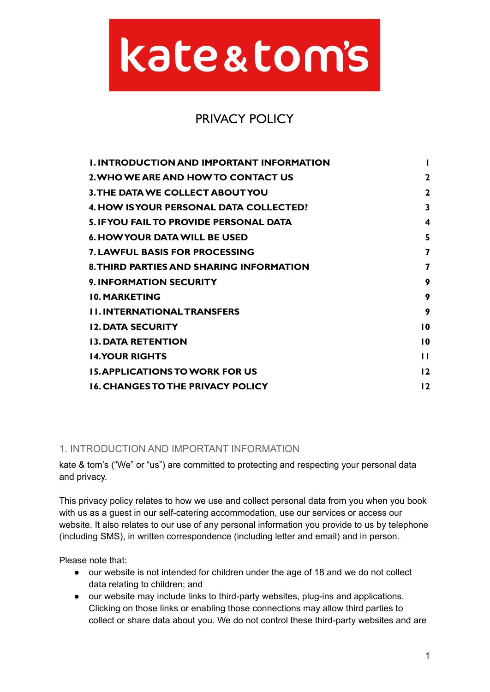# kate&tom's

# PRIVACY POLICY

| <b>I. INTRODUCTION AND IMPORTANT INFORMATION</b> |                 |
|--------------------------------------------------|-----------------|
| 2. WHO WE ARE AND HOW TO CONTACT US              | $\mathbf{2}$    |
| <b>3. THE DATA WE COLLECT ABOUT YOU</b>          | $\mathbf{2}$    |
| 4. HOW IS YOUR PERSONAL DATA COLLECTED?          | 3               |
| <b>5. IF YOU FAIL TO PROVIDE PERSONAL DATA</b>   | 4               |
| 6. HOW YOUR DATA WILL BE USED                    | 5               |
| <b>7. LAWFUL BASIS FOR PROCESSING</b>            | 7               |
| <b>8. THIRD PARTIES AND SHARING INFORMATION</b>  | 7               |
| <b>9. INFORMATION SECURITY</b>                   | 9               |
| <b>10. MARKETING</b>                             | 9               |
| <b>II. INTERNATIONAL TRANSFERS</b>               | 9               |
| <b>12. DATA SECURITY</b>                         | $\overline{10}$ |
| <b>13. DATA RETENTION</b>                        | $\overline{10}$ |
| <b>14.YOUR RIGHTS</b>                            | $\mathbf{H}$    |
| <b>15. APPLICATIONS TO WORK FOR US</b>           | 12              |
| <b>16. CHANGES TO THE PRIVACY POLICY</b>         | $12 \,$         |

# <span id="page-0-0"></span>1. INTRODUCTION AND IMPORTANT INFORMATION

kate & tom's ("We" or "us") are committed to protecting and respecting your personal data and privacy.

This privacy policy relates to how we use and collect personal data from you when you book with us as a guest in our self-catering accommodation, use our services or access our website. It also relates to our use of any personal information you provide to us by telephone (including SMS), in written correspondence (including letter and email) and in person.

Please note that:

- our website is not intended for children under the age of 18 and we do not collect data relating to children; and
- our website may include links to third-party websites, plug-ins and applications. Clicking on those links or enabling those connections may allow third parties to collect or share data about you. We do not control these third-party websites and are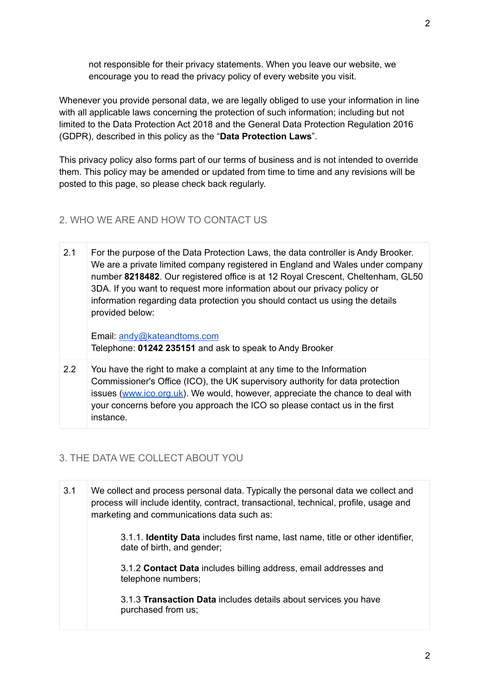not responsible for their privacy statements. When you leave our website, we encourage you to read the privacy policy of every website you visit.

Whenever you provide personal data, we are legally obliged to use your information in line with all applicable laws concerning the protection of such information; including but not limited to the Data Protection Act 2018 and the General Data Protection Regulation 2016 (GDPR), described in this policy as the "**Data Protection Laws**".

This privacy policy also forms part of our terms of business and is not intended to override them. This policy may be amended or updated from time to time and any revisions will be posted to this page, so please check back regularly.

#### <span id="page-1-0"></span>2. WHO WE ARE AND HOW TO CONTACT US

2.1 For the purpose of the Data Protection Laws, the data controller is Andy Brooker. We are a private limited company registered in England and Wales under company number **8218482**. Our registered office is at 12 Royal Crescent, Cheltenham, GL50 3DA. If you want to request more information about our privacy policy or information regarding data protection you should contact us using the details provided below:

Email: [andy@kateandtoms.com](mailto:andy@kateandtoms.com) Telephone: **01242 235151** and ask to speak to Andy Brooker

2.2 You have the right to make a complaint at any time to the Information Commissioner's Office (ICO), the UK supervisory authority for data protection issues ([www.ico.org.uk\)](http://www.ico.org.uk). We would, however, appreciate the chance to deal with your concerns before you approach the ICO so please contact us in the first instance.

#### <span id="page-1-1"></span>3. THE DATA WE COLLECT ABOUT YOU

| 3.1 | We collect and process personal data. Typically the personal data we collect and<br>process will include identity, contract, transactional, technical, profile, usage and<br>marketing and communications data such as: |  |
|-----|-------------------------------------------------------------------------------------------------------------------------------------------------------------------------------------------------------------------------|--|
|     | 3.1.1. <b>Identity Data</b> includes first name, last name, title or other identifier,<br>date of birth, and gender;                                                                                                    |  |
|     | 3.1.2 Contact Data includes billing address, email addresses and<br>telephone numbers;                                                                                                                                  |  |
|     | 3.1.3 Transaction Data includes details about services you have<br>purchased from us;                                                                                                                                   |  |
|     |                                                                                                                                                                                                                         |  |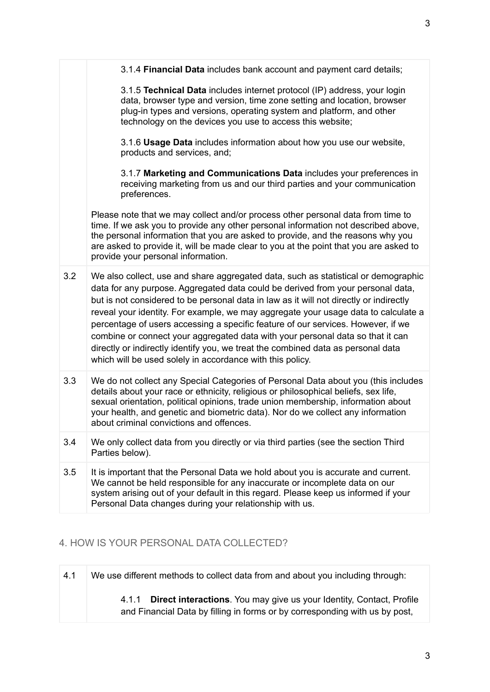|     | 3.1.4 Financial Data includes bank account and payment card details;                                                                                                                                                                                                                                                                                                                                                                                                                                                                                                                                                                                                         |
|-----|------------------------------------------------------------------------------------------------------------------------------------------------------------------------------------------------------------------------------------------------------------------------------------------------------------------------------------------------------------------------------------------------------------------------------------------------------------------------------------------------------------------------------------------------------------------------------------------------------------------------------------------------------------------------------|
|     | 3.1.5 Technical Data includes internet protocol (IP) address, your login<br>data, browser type and version, time zone setting and location, browser<br>plug-in types and versions, operating system and platform, and other<br>technology on the devices you use to access this website;                                                                                                                                                                                                                                                                                                                                                                                     |
|     | 3.1.6 Usage Data includes information about how you use our website,<br>products and services, and;                                                                                                                                                                                                                                                                                                                                                                                                                                                                                                                                                                          |
|     | 3.1.7 Marketing and Communications Data includes your preferences in<br>receiving marketing from us and our third parties and your communication<br>preferences.                                                                                                                                                                                                                                                                                                                                                                                                                                                                                                             |
|     | Please note that we may collect and/or process other personal data from time to<br>time. If we ask you to provide any other personal information not described above,<br>the personal information that you are asked to provide, and the reasons why you<br>are asked to provide it, will be made clear to you at the point that you are asked to<br>provide your personal information.                                                                                                                                                                                                                                                                                      |
| 3.2 | We also collect, use and share aggregated data, such as statistical or demographic<br>data for any purpose. Aggregated data could be derived from your personal data,<br>but is not considered to be personal data in law as it will not directly or indirectly<br>reveal your identity. For example, we may aggregate your usage data to calculate a<br>percentage of users accessing a specific feature of our services. However, if we<br>combine or connect your aggregated data with your personal data so that it can<br>directly or indirectly identify you, we treat the combined data as personal data<br>which will be used solely in accordance with this policy. |
| 3.3 | We do not collect any Special Categories of Personal Data about you (this includes<br>details about your race or ethnicity, religious or philosophical beliefs, sex life,<br>sexual orientation, political opinions, trade union membership, information about<br>your health, and genetic and biometric data). Nor do we collect any information<br>about criminal convictions and offences.                                                                                                                                                                                                                                                                                |
| 3.4 | We only collect data from you directly or via third parties (see the section Third<br>Parties below).                                                                                                                                                                                                                                                                                                                                                                                                                                                                                                                                                                        |
| 3.5 | It is important that the Personal Data we hold about you is accurate and current.<br>We cannot be held responsible for any inaccurate or incomplete data on our<br>system arising out of your default in this regard. Please keep us informed if your<br>Personal Data changes during your relationship with us.                                                                                                                                                                                                                                                                                                                                                             |
|     |                                                                                                                                                                                                                                                                                                                                                                                                                                                                                                                                                                                                                                                                              |

# <span id="page-2-0"></span>4. HOW IS YOUR PERSONAL DATA COLLECTED?

| 4.1 | We use different methods to collect data from and about you including through:                                                                                      |
|-----|---------------------------------------------------------------------------------------------------------------------------------------------------------------------|
|     | <b>Direct interactions.</b> You may give us your Identity, Contact, Profile<br>4.1.1<br>and Financial Data by filling in forms or by corresponding with us by post, |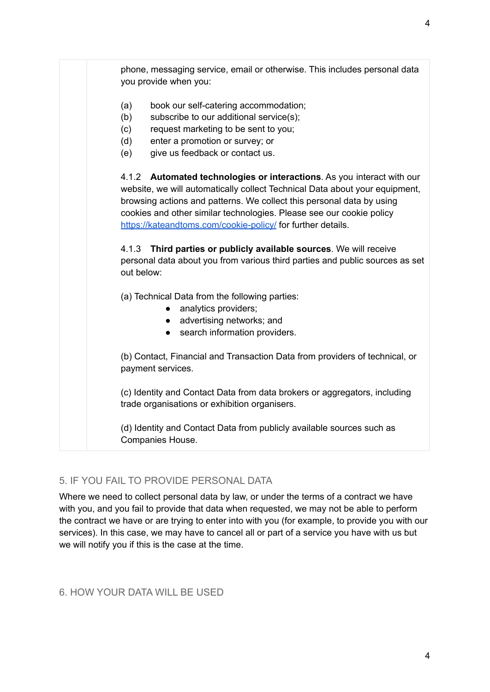

#### <span id="page-3-0"></span>5. IF YOU FAIL TO PROVIDE PERSONAL DATA

Where we need to collect personal data by law, or under the terms of a contract we have with you, and you fail to provide that data when requested, we may not be able to perform the contract we have or are trying to enter into with you (for example, to provide you with our services). In this case, we may have to cancel all or part of a service you have with us but we will notify you if this is the case at the time.

<span id="page-3-1"></span>6. HOW YOUR DATA WILL BE USED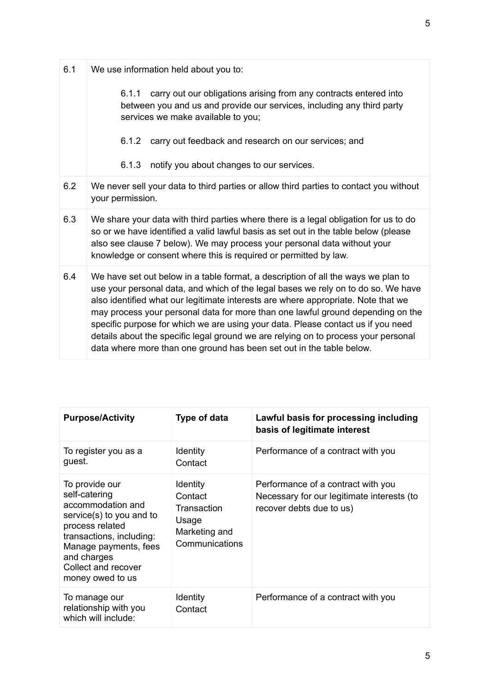| 6.1 | We use information held about you to:                                                                                                                                                                                                                                                                                                                                                                                                                                                                                                                                                            |
|-----|--------------------------------------------------------------------------------------------------------------------------------------------------------------------------------------------------------------------------------------------------------------------------------------------------------------------------------------------------------------------------------------------------------------------------------------------------------------------------------------------------------------------------------------------------------------------------------------------------|
|     | carry out our obligations arising from any contracts entered into<br>6.1.1<br>between you and us and provide our services, including any third party<br>services we make available to you;                                                                                                                                                                                                                                                                                                                                                                                                       |
|     | carry out feedback and research on our services; and<br>6.1.2                                                                                                                                                                                                                                                                                                                                                                                                                                                                                                                                    |
|     | notify you about changes to our services.<br>6.1.3                                                                                                                                                                                                                                                                                                                                                                                                                                                                                                                                               |
| 6.2 | We never sell your data to third parties or allow third parties to contact you without<br>your permission.                                                                                                                                                                                                                                                                                                                                                                                                                                                                                       |
| 6.3 | We share your data with third parties where there is a legal obligation for us to do<br>so or we have identified a valid lawful basis as set out in the table below (please<br>also see clause 7 below). We may process your personal data without your<br>knowledge or consent where this is required or permitted by law.                                                                                                                                                                                                                                                                      |
| 6.4 | We have set out below in a table format, a description of all the ways we plan to<br>use your personal data, and which of the legal bases we rely on to do so. We have<br>also identified what our legitimate interests are where appropriate. Note that we<br>may process your personal data for more than one lawful ground depending on the<br>specific purpose for which we are using your data. Please contact us if you need<br>details about the specific legal ground we are relying on to process your personal<br>data where more than one ground has been set out in the table below. |

| <b>Purpose/Activity</b>                                                                                                                                                                                            | Type of data                                                                          | Lawful basis for processing including<br>basis of legitimate interest                                        |
|--------------------------------------------------------------------------------------------------------------------------------------------------------------------------------------------------------------------|---------------------------------------------------------------------------------------|--------------------------------------------------------------------------------------------------------------|
| To register you as a<br>guest.                                                                                                                                                                                     | <b>Identity</b><br>Contact                                                            | Performance of a contract with you                                                                           |
| To provide our<br>self-catering<br>accommodation and<br>service(s) to you and to<br>process related<br>transactions, including:<br>Manage payments, fees<br>and charges<br>Collect and recover<br>money owed to us | <b>Identity</b><br>Contact<br>Transaction<br>Usage<br>Marketing and<br>Communications | Performance of a contract with you<br>Necessary for our legitimate interests (to<br>recover debts due to us) |
| To manage our<br>relationship with you<br>which will include:                                                                                                                                                      | <b>Identity</b><br>Contact                                                            | Performance of a contract with you                                                                           |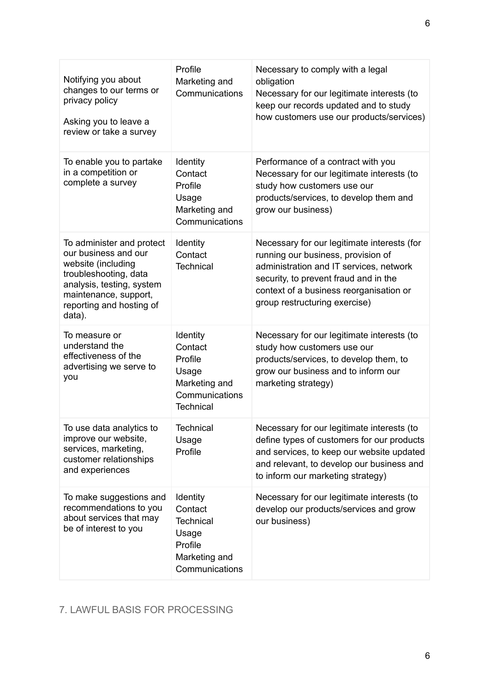| Notifying you about<br>changes to our terms or<br>privacy policy<br>Asking you to leave a<br>review or take a survey                                                                         | Profile<br>Marketing and<br>Communications                                                     | Necessary to comply with a legal<br>obligation<br>Necessary for our legitimate interests (to<br>keep our records updated and to study<br>how customers use our products/services)                                                                 |
|----------------------------------------------------------------------------------------------------------------------------------------------------------------------------------------------|------------------------------------------------------------------------------------------------|---------------------------------------------------------------------------------------------------------------------------------------------------------------------------------------------------------------------------------------------------|
| To enable you to partake<br>in a competition or<br>complete a survey                                                                                                                         | Identity<br>Contact<br>Profile<br>Usage<br>Marketing and<br>Communications                     | Performance of a contract with you<br>Necessary for our legitimate interests (to<br>study how customers use our<br>products/services, to develop them and<br>grow our business)                                                                   |
| To administer and protect<br>our business and our<br>website (including<br>troubleshooting, data<br>analysis, testing, system<br>maintenance, support,<br>reporting and hosting of<br>data). | Identity<br>Contact<br><b>Technical</b>                                                        | Necessary for our legitimate interests (for<br>running our business, provision of<br>administration and IT services, network<br>security, to prevent fraud and in the<br>context of a business reorganisation or<br>group restructuring exercise) |
| To measure or<br>understand the<br>effectiveness of the<br>advertising we serve to<br>you                                                                                                    | Identity<br>Contact<br>Profile<br>Usage<br>Marketing and<br>Communications<br><b>Technical</b> | Necessary for our legitimate interests (to<br>study how customers use our<br>products/services, to develop them, to<br>grow our business and to inform our<br>marketing strategy)                                                                 |
| To use data analytics to<br>improve our website,<br>services, marketing,<br>customer relationships<br>and experiences                                                                        | <b>Technical</b><br>Usage<br>Profile                                                           | Necessary for our legitimate interests (to<br>define types of customers for our products<br>and services, to keep our website updated<br>and relevant, to develop our business and<br>to inform our marketing strategy)                           |
| To make suggestions and<br>recommendations to you<br>about services that may<br>be of interest to you                                                                                        | Identity<br>Contact<br><b>Technical</b><br>Usage<br>Profile<br>Marketing and<br>Communications | Necessary for our legitimate interests (to<br>develop our products/services and grow<br>our business)                                                                                                                                             |

# <span id="page-5-0"></span>7. LAWFUL BASIS FOR PROCESSING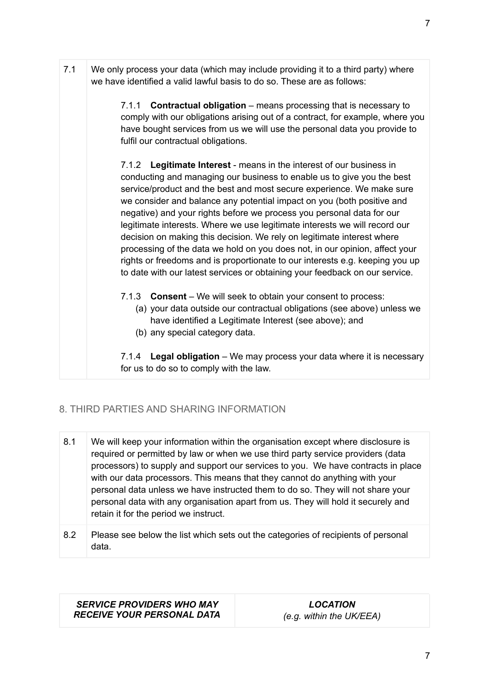7.1 We only process your data (which may include providing it to a third party) where we have identified a valid lawful basis to do so. These are as follows:

> 7.1.1 **Contractual obligation** – means processing that is necessary to comply with our obligations arising out of a contract, for example, where you have bought services from us we will use the personal data you provide to fulfil our contractual obligations.

7.1.2 **Legitimate Interest** - means in the interest of our business in conducting and managing our business to enable us to give you the best service/product and the best and most secure experience. We make sure we consider and balance any potential impact on you (both positive and negative) and your rights before we process you personal data for our legitimate interests. Where we use legitimate interests we will record our decision on making this decision. We rely on legitimate interest where processing of the data we hold on you does not, in our opinion, affect your rights or freedoms and is proportionate to our interests e.g. keeping you up to date with our latest services or obtaining your feedback on our service.

- 7.1.3 **Consent** We will seek to obtain your consent to process:
	- (a) your data outside our contractual obligations (see above) unless we have identified a Legitimate Interest (see above); and
	- (b) any special category data.

7.1.4 **Legal obligation** – We may process your data where it is necessary for us to do so to comply with the law.

# <span id="page-6-0"></span>8. THIRD PARTIES AND SHARING INFORMATION

- 8.1 We will keep your information within the organisation except where disclosure is required or permitted by law or when we use third party service providers (data processors) to supply and support our services to you. We have contracts in place with our data processors. This means that they cannot do anything with your personal data unless we have instructed them to do so. They will not share your personal data with any organisation apart from us. They will hold it securely and retain it for the period we instruct.
- 8.2 Please see below the list which sets out the categories of recipients of personal data.

*SERVICE PROVIDERS WHO MAY RECEIVE YOUR PERSONAL DATA*

*LOCATION (e.g. within the UK/EEA)*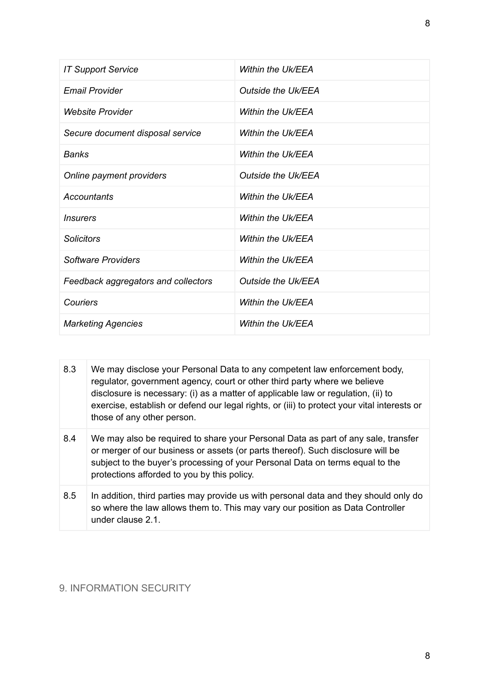| <b>IT Support Service</b>           | Within the Uk/EEA        |
|-------------------------------------|--------------------------|
| <b>Email Provider</b>               | Outside the Uk/EEA       |
| <b>Website Provider</b>             | Within the Uk/EEA        |
| Secure document disposal service    | Within the Uk/EEA        |
| <b>Banks</b>                        | Within the Uk/EEA        |
| Online payment providers            | Outside the Uk/EEA       |
| Accountants                         | Within the Uk/EEA        |
| <i><u><b>Insurers</b></u></i>       | Within the Uk/EEA        |
| <b>Solicitors</b>                   | Within the Uk/EEA        |
| Software Providers                  | Within the Uk/EEA        |
| Feedback aggregators and collectors | Outside the Uk/EEA       |
| Couriers                            | <b>Within the Uk/EEA</b> |
| <b>Marketing Agencies</b>           | Within the Uk/EEA        |

| 8.3 | We may disclose your Personal Data to any competent law enforcement body,<br>regulator, government agency, court or other third party where we believe<br>disclosure is necessary: (i) as a matter of applicable law or regulation, (ii) to<br>exercise, establish or defend our legal rights, or (iii) to protect your vital interests or<br>those of any other person. |
|-----|--------------------------------------------------------------------------------------------------------------------------------------------------------------------------------------------------------------------------------------------------------------------------------------------------------------------------------------------------------------------------|
| 8.4 | We may also be required to share your Personal Data as part of any sale, transfer<br>or merger of our business or assets (or parts thereof). Such disclosure will be<br>subject to the buyer's processing of your Personal Data on terms equal to the<br>protections afforded to you by this policy.                                                                     |
| 8.5 | In addition, third parties may provide us with personal data and they should only do<br>so where the law allows them to. This may vary our position as Data Controller<br>under clause 2.1.                                                                                                                                                                              |

# <span id="page-7-0"></span>9. INFORMATION SECURITY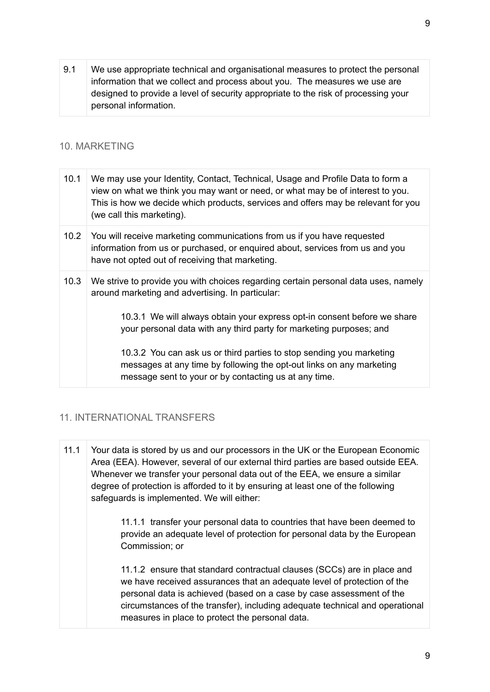9.1 We use appropriate technical and organisational measures to protect the personal information that we collect and process about you. The measures we use are designed to provide a level of security appropriate to the risk of processing your personal information.

#### <span id="page-8-0"></span>10. MARKETING

| 10.1              | We may use your Identity, Contact, Technical, Usage and Profile Data to form a<br>view on what we think you may want or need, or what may be of interest to you.<br>This is how we decide which products, services and offers may be relevant for you<br>(we call this marketing). |
|-------------------|------------------------------------------------------------------------------------------------------------------------------------------------------------------------------------------------------------------------------------------------------------------------------------|
| 10.2 <sub>1</sub> | You will receive marketing communications from us if you have requested<br>information from us or purchased, or enquired about, services from us and you<br>have not opted out of receiving that marketing.                                                                        |
| 10.3              | We strive to provide you with choices regarding certain personal data uses, namely<br>around marketing and advertising. In particular:                                                                                                                                             |
|                   | 10.3.1 We will always obtain your express opt-in consent before we share<br>your personal data with any third party for marketing purposes; and                                                                                                                                    |
|                   | 10.3.2 You can ask us or third parties to stop sending you marketing<br>messages at any time by following the opt-out links on any marketing<br>message sent to your or by contacting us at any time.                                                                              |

#### <span id="page-8-1"></span>11. INTERNATIONAL TRANSFERS

11.1 Your data is stored by us and our processors in the UK or the European Economic Area (EEA). However, several of our external third parties are based outside EEA. Whenever we transfer your personal data out of the EEA, we ensure a similar degree of protection is afforded to it by ensuring at least one of the following safeguards is implemented. We will either:

> 11.1.1 transfer your personal data to countries that have been deemed to provide an adequate level of protection for personal data by the European Commission; or

11.1.2 ensure that standard contractual clauses (SCCs) are in place and we have received assurances that an adequate level of protection of the personal data is achieved (based on a case by case assessment of the circumstances of the transfer), including adequate technical and operational measures in place to protect the personal data.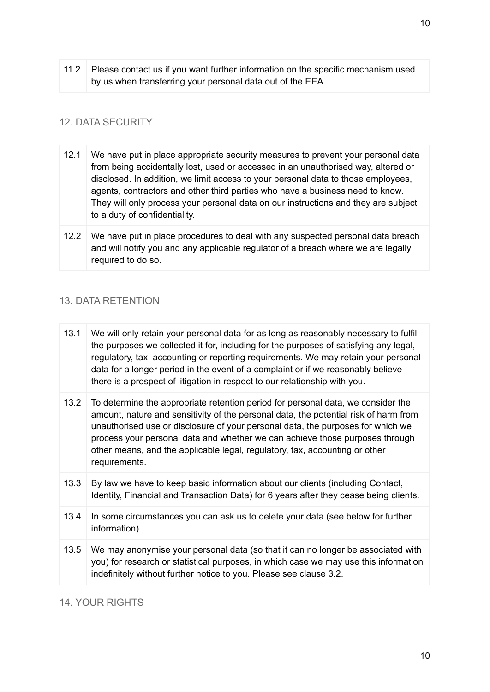11.2 Please contact us if you want further information on the specific mechanism used by us when transferring your personal data out of the EEA.

# <span id="page-9-0"></span>12. DATA SECURITY

- 12.1 We have put in place appropriate security measures to prevent your personal data from being accidentally lost, used or accessed in an unauthorised way, altered or disclosed. In addition, we limit access to your personal data to those employees, agents, contractors and other third parties who have a business need to know. They will only process your personal data on our instructions and they are subject to a duty of confidentiality.
- 12.2 We have put in place procedures to deal with any suspected personal data breach and will notify you and any applicable regulator of a breach where we are legally required to do so.

# <span id="page-9-1"></span>13. DATA RETENTION

| 13.1 | We will only retain your personal data for as long as reasonably necessary to fulfil<br>the purposes we collected it for, including for the purposes of satisfying any legal,<br>regulatory, tax, accounting or reporting requirements. We may retain your personal<br>data for a longer period in the event of a complaint or if we reasonably believe<br>there is a prospect of litigation in respect to our relationship with you.       |
|------|---------------------------------------------------------------------------------------------------------------------------------------------------------------------------------------------------------------------------------------------------------------------------------------------------------------------------------------------------------------------------------------------------------------------------------------------|
| 13.2 | To determine the appropriate retention period for personal data, we consider the<br>amount, nature and sensitivity of the personal data, the potential risk of harm from<br>unauthorised use or disclosure of your personal data, the purposes for which we<br>process your personal data and whether we can achieve those purposes through<br>other means, and the applicable legal, regulatory, tax, accounting or other<br>requirements. |
| 13.3 | By law we have to keep basic information about our clients (including Contact,<br>Identity, Financial and Transaction Data) for 6 years after they cease being clients.                                                                                                                                                                                                                                                                     |
| 13.4 | In some circumstances you can ask us to delete your data (see below for further<br>information).                                                                                                                                                                                                                                                                                                                                            |
| 13.5 | We may anonymise your personal data (so that it can no longer be associated with<br>you) for research or statistical purposes, in which case we may use this information<br>indefinitely without further notice to you. Please see clause 3.2.                                                                                                                                                                                              |

#### <span id="page-9-2"></span>14. YOUR RIGHTS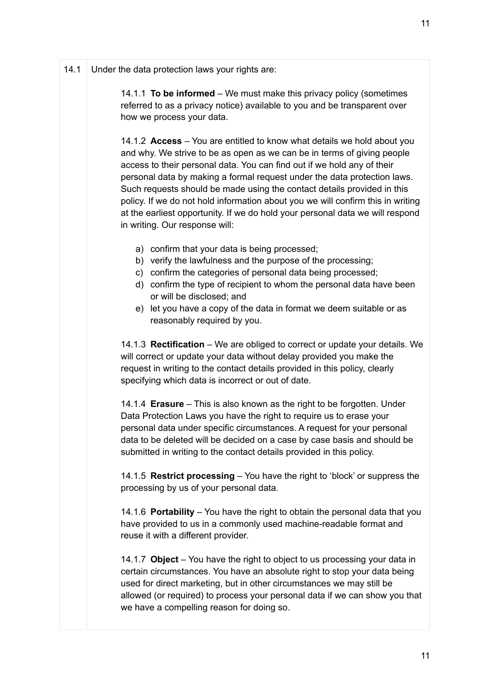#### 14.1 Under the data protection laws your rights are:

14.1.1 **To be informed** – We must make this privacy policy (sometimes referred to as a privacy notice) available to you and be transparent over how we process your data.

14.1.2 **Access** – You are entitled to know what details we hold about you and why. We strive to be as open as we can be in terms of giving people access to their personal data. You can find out if we hold any of their personal data by making a formal request under the data protection laws. Such requests should be made using the contact details provided in this policy. If we do not hold information about you we will confirm this in writing at the earliest opportunity. If we do hold your personal data we will respond in writing. Our response will:

- a) confirm that your data is being processed;
- b) verify the lawfulness and the purpose of the processing;
- c) confirm the categories of personal data being processed;
- d) confirm the type of recipient to whom the personal data have been or will be disclosed; and
- e) let you have a copy of the data in format we deem suitable or as reasonably required by you.

14.1.3 **Rectification** – We are obliged to correct or update your details. We will correct or update your data without delay provided you make the request in writing to the contact details provided in this policy, clearly specifying which data is incorrect or out of date.

14.1.4 **Erasure** – This is also known as the right to be forgotten. Under Data Protection Laws you have the right to require us to erase your personal data under specific circumstances. A request for your personal data to be deleted will be decided on a case by case basis and should be submitted in writing to the contact details provided in this policy.

14.1.5 **Restrict processing** – You have the right to 'block' or suppress the processing by us of your personal data.

14.1.6 **Portability** – You have the right to obtain the personal data that you have provided to us in a commonly used machine-readable format and reuse it with a different provider.

14.1.7 **Object** – You have the right to object to us processing your data in certain circumstances. You have an absolute right to stop your data being used for direct marketing, but in other circumstances we may still be allowed (or required) to process your personal data if we can show you that we have a compelling reason for doing so.